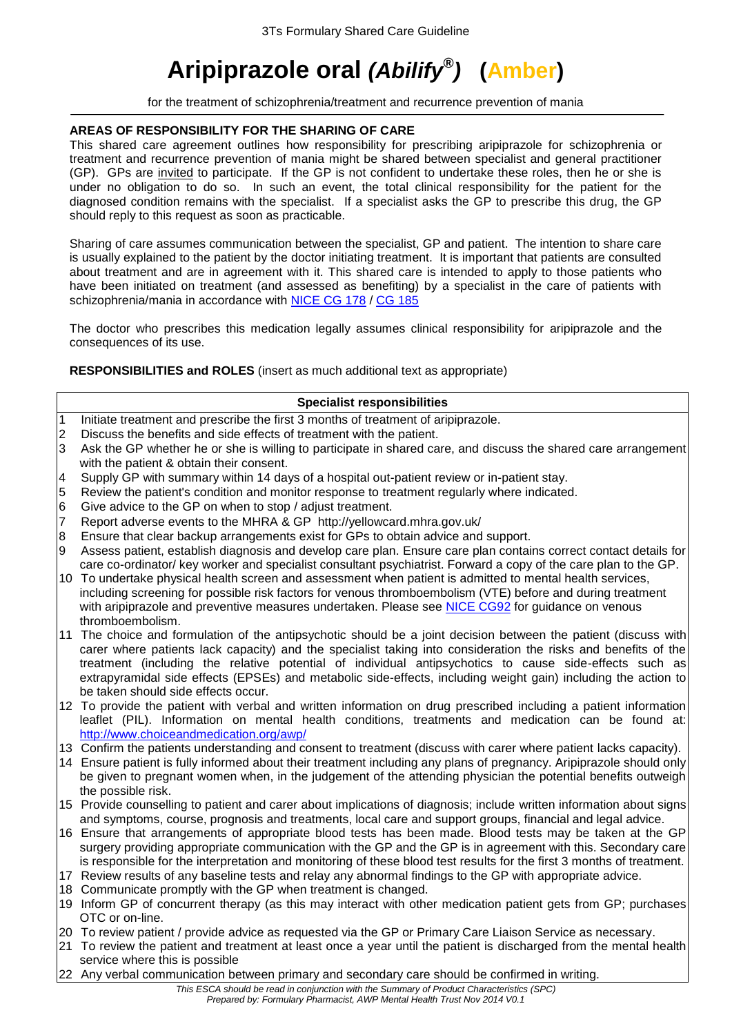# **Aripiprazole oral** *(Abilify® )* **(Amber)**

for the treatment of schizophrenia/treatment and recurrence prevention of mania

# **AREAS OF RESPONSIBILITY FOR THE SHARING OF CARE**

This shared care agreement outlines how responsibility for prescribing aripiprazole for schizophrenia or treatment and recurrence prevention of mania might be shared between specialist and general practitioner (GP). GPs are invited to participate. If the GP is not confident to undertake these roles, then he or she is under no obligation to do so. In such an event, the total clinical responsibility for the patient for the diagnosed condition remains with the specialist. If a specialist asks the GP to prescribe this drug, the GP should reply to this request as soon as practicable.

Sharing of care assumes communication between the specialist, GP and patient. The intention to share care is usually explained to the patient by the doctor initiating treatment. It is important that patients are consulted about treatment and are in agreement with it. This shared care is intended to apply to those patients who have been initiated on treatment (and assessed as benefiting) by a specialist in the care of patients with schizophrenia/mania in accordance with [NICE CG 178](http://www.nice.org.uk/guidance/cg178/resources/guidance-psychosis-and-schizophrenia-in-adults-treatment-and-management-pdf) / [CG 185](http://www.nice.org.uk/guidance/cg185/resources/guidance-bipolar-disorder-the-assessment-and-management-of-bipolar-disorder-in-adults-children-and-young-people-in-primary-and-secondary-care-pdf)

The doctor who prescribes this medication legally assumes clinical responsibility for aripiprazole and the consequences of its use.

**RESPONSIBILITIES and ROLES** (insert as much additional text as appropriate)

#### **Specialist responsibilities**

- 1 Initiate treatment and prescribe the first 3 months of treatment of aripiprazole.
- 2 Discuss the benefits and side effects of treatment with the patient.
- 3 Ask the GP whether he or she is willing to participate in shared care, and discuss the shared care arrangement with the patient & obtain their consent.
- 4 Supply GP with summary within 14 days of a hospital out-patient review or in-patient stay.
- 5 Review the patient's condition and monitor response to treatment regularly where indicated.
- 6 Give advice to the GP on when to stop / adjust treatment.
- 7 Report adverse events to the MHRA & GP http://yellowcard.mhra.gov.uk/
- 8 Ensure that clear backup arrangements exist for GPs to obtain advice and support.
- 9 Assess patient, establish diagnosis and develop care plan. Ensure care plan contains correct contact details for care co-ordinator/ key worker and specialist consultant psychiatrist. Forward a copy of the care plan to the GP.
- 10 To undertake physical health screen and assessment when patient is admitted to mental health services, including screening for possible risk factors for venous thromboembolism (VTE) before and during treatment with aripiprazole and preventive measures undertaken. Please see [NICE CG92](http://www.nice.org.uk/guidance/cg92/resources/guidance-venous-thromboembolism-reducing-the-risk-pdf) for guidance on venous thromboembolism.
- 11 The choice and formulation of the antipsychotic should be a joint decision between the patient (discuss with carer where patients lack capacity) and the specialist taking into consideration the risks and benefits of the treatment (including the relative potential of individual antipsychotics to cause side-effects such as extrapyramidal side effects (EPSEs) and metabolic side-effects, including weight gain) including the action to be taken should side effects occur.
- 12 To provide the patient with verbal and written information on drug prescribed including a patient information leaflet (PIL). Information on mental health conditions, treatments and medication can be found at: <http://www.choiceandmedication.org/awp/>
- 13 Confirm the patients understanding and consent to treatment (discuss with carer where patient lacks capacity).
- 14 Ensure patient is fully informed about their treatment including any plans of pregnancy. Aripiprazole should only be given to pregnant women when, in the judgement of the attending physician the potential benefits outweigh the possible risk.
- 15 Provide counselling to patient and carer about implications of diagnosis; include written information about signs and symptoms, course, prognosis and treatments, local care and support groups, financial and legal advice.
- 16 Ensure that arrangements of appropriate blood tests has been made. Blood tests may be taken at the GP surgery providing appropriate communication with the GP and the GP is in agreement with this. Secondary care is responsible for the interpretation and monitoring of these blood test results for the first 3 months of treatment.
- 17 Review results of any baseline tests and relay any abnormal findings to the GP with appropriate advice.
- 18 Communicate promptly with the GP when treatment is changed.
- 19 Inform GP of concurrent therapy (as this may interact with other medication patient gets from GP; purchases OTC or on-line.
- 20 To review patient / provide advice as requested via the GP or Primary Care Liaison Service as necessary.
- 21 To review the patient and treatment at least once a year until the patient is discharged from the mental health service where this is possible
- 22 Any verbal communication between primary and secondary care should be confirmed in writing.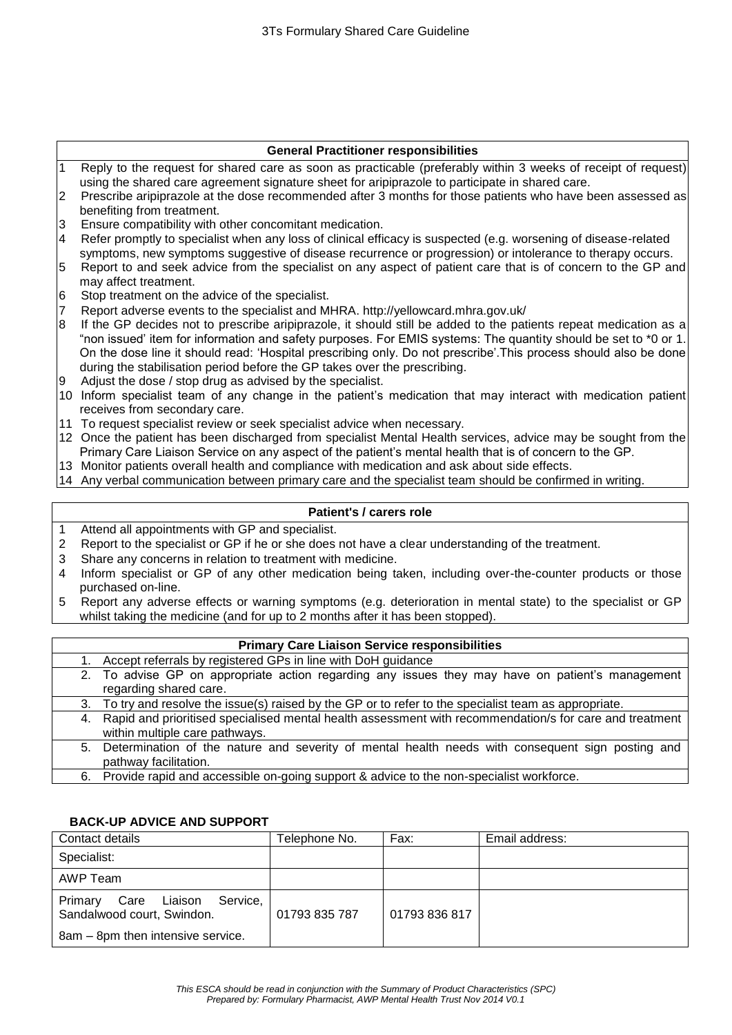# **General Practitioner responsibilities**

- 1 Reply to the request for shared care as soon as practicable (preferably within 3 weeks of receipt of request) using the shared care agreement signature sheet for aripiprazole to participate in shared care.
- 2 Prescribe aripiprazole at the dose recommended after 3 months for those patients who have been assessed as benefiting from treatment.
- 3 Ensure compatibility with other concomitant medication.
- 4 Refer promptly to specialist when any loss of clinical efficacy is suspected (e.g. worsening of disease-related symptoms, new symptoms suggestive of disease recurrence or progression) or intolerance to therapy occurs.
- 5 Report to and seek advice from the specialist on any aspect of patient care that is of concern to the GP and may affect treatment.
- 6 Stop treatment on the advice of the specialist.
- 7 Report adverse events to the specialist and MHRA. http://yellowcard.mhra.gov.uk/
- 8 If the GP decides not to prescribe aripiprazole, it should still be added to the patients repeat medication as a "non issued' item for information and safety purposes. For EMIS systems: The quantity should be set to \*0 or 1. On the dose line it should read: 'Hospital prescribing only. Do not prescribe'.This process should also be done during the stabilisation period before the GP takes over the prescribing.
- 9 Adjust the dose / stop drug as advised by the specialist.
- 10 Inform specialist team of any change in the patient's medication that may interact with medication patient receives from secondary care.
- 11 To request specialist review or seek specialist advice when necessary.
- 12 Once the patient has been discharged from specialist Mental Health services, advice may be sought from the Primary Care Liaison Service on any aspect of the patient's mental health that is of concern to the GP.
- 13 Monitor patients overall health and compliance with medication and ask about side effects.
- 14 Any verbal communication between primary care and the specialist team should be confirmed in writing.

# **Patient's / carers role**

- 1 Attend all appointments with GP and specialist.
- 2 Report to the specialist or GP if he or she does not have a clear understanding of the treatment.
- 3 Share any concerns in relation to treatment with medicine.
- 4 Inform specialist or GP of any other medication being taken, including over-the-counter products or those purchased on-line.
- 5 Report any adverse effects or warning symptoms (e.g. deterioration in mental state) to the specialist or GP whilst taking the medicine (and for up to 2 months after it has been stopped).

| <b>Primary Care Liaison Service responsibilities</b> |                                                                                                            |  |
|------------------------------------------------------|------------------------------------------------------------------------------------------------------------|--|
|                                                      | 1. Accept referrals by registered GPs in line with DoH guidance                                            |  |
|                                                      | 2. To advise GP on appropriate action regarding any issues they may have on patient's management           |  |
|                                                      | regarding shared care.                                                                                     |  |
|                                                      | 3. To try and resolve the issue(s) raised by the GP or to refer to the specialist team as appropriate.     |  |
|                                                      | 4. Rapid and prioritised specialised mental health assessment with recommendation/s for care and treatment |  |
|                                                      | within multiple care pathways.                                                                             |  |
|                                                      | 5. Determination of the nature and severity of mental health needs with consequent sign posting and        |  |
|                                                      | pathway facilitation.                                                                                      |  |
|                                                      | 6. Provide rapid and accessible on-going support & advice to the non-specialist workforce.                 |  |

#### **BACK-UP ADVICE AND SUPPORT**

| Contact details                                                   | Telephone No. | Fax:          | Email address: |
|-------------------------------------------------------------------|---------------|---------------|----------------|
| Specialist:                                                       |               |               |                |
| AWP Team                                                          |               |               |                |
| Care Liaison<br>Service,<br>Primary<br>Sandalwood court, Swindon. | 01793 835 787 | 01793 836 817 |                |
| 8am - 8pm then intensive service.                                 |               |               |                |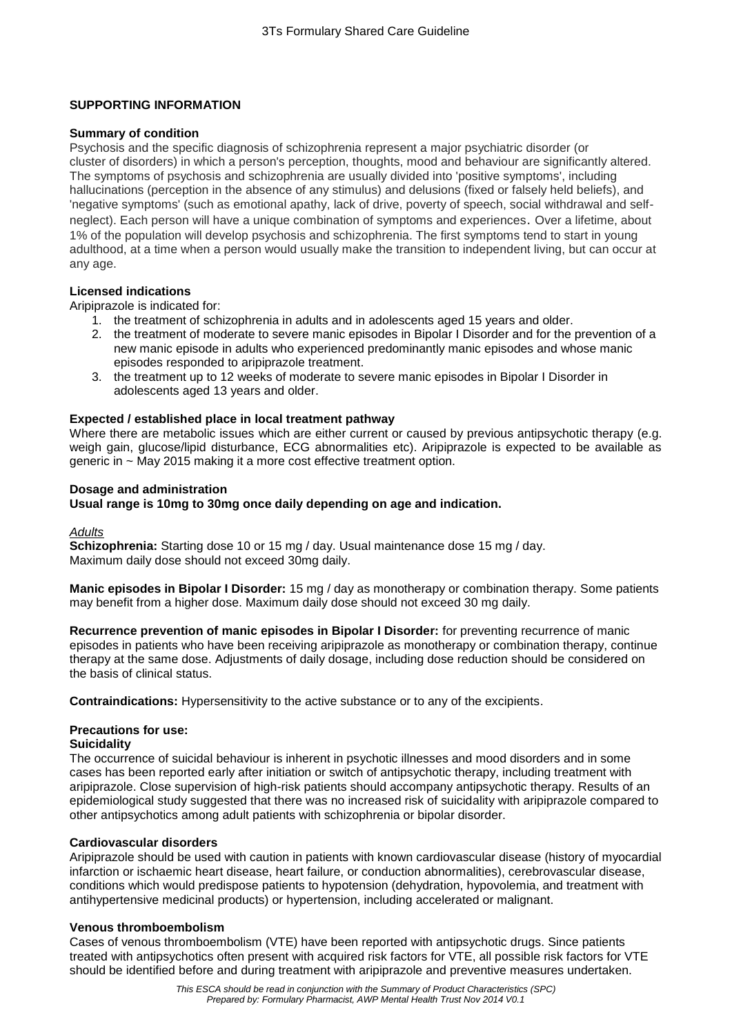# **SUPPORTING INFORMATION**

#### **Summary of condition**

Psychosis and the specific diagnosis of schizophrenia represent a major psychiatric disorder (or cluster of disorders) in which a person's perception, thoughts, mood and behaviour are significantly altered. The symptoms of psychosis and schizophrenia are usually divided into 'positive symptoms', including hallucinations (perception in the absence of any stimulus) and delusions (fixed or falsely held beliefs), and 'negative symptoms' (such as emotional apathy, lack of drive, poverty of speech, social withdrawal and selfneglect). Each person will have a unique combination of symptoms and experiences. Over a lifetime, about 1% of the population will develop psychosis and schizophrenia. The first symptoms tend to start in young adulthood, at a time when a person would usually make the transition to independent living, but can occur at any age.

## **Licensed indications**

Aripiprazole is indicated for:

- 1. the treatment of schizophrenia in adults and in adolescents aged 15 years and older.
- 2. the treatment of moderate to severe manic episodes in Bipolar I Disorder and for the prevention of a new manic episode in adults who experienced predominantly manic episodes and whose manic episodes responded to aripiprazole treatment.
- 3. the treatment up to 12 weeks of moderate to severe manic episodes in Bipolar I Disorder in adolescents aged 13 years and older.

## **Expected / established place in local treatment pathway**

Where there are metabolic issues which are either current or caused by previous antipsychotic therapy (e.g. weigh gain, glucose/lipid disturbance, ECG abnormalities etc). Aripiprazole is expected to be available as generic in ~ May 2015 making it a more cost effective treatment option.

#### **Dosage and administration**

## **Usual range is 10mg to 30mg once daily depending on age and indication.**

#### *Adults*

**Schizophrenia:** Starting dose 10 or 15 mg / day. Usual maintenance dose 15 mg / day. Maximum daily dose should not exceed 30mg daily.

**Manic episodes in Bipolar I Disorder:** 15 mg / day as monotherapy or combination therapy. Some patients may benefit from a higher dose. Maximum daily dose should not exceed 30 mg daily.

**Recurrence prevention of manic episodes in Bipolar I Disorder:** for preventing recurrence of manic episodes in patients who have been receiving aripiprazole as monotherapy or combination therapy, continue therapy at the same dose. Adjustments of daily dosage, including dose reduction should be considered on the basis of clinical status.

**Contraindications:** Hypersensitivity to the active substance or to any of the excipients.

# **Precautions for use:**

#### **Suicidality**

The occurrence of suicidal behaviour is inherent in psychotic illnesses and mood disorders and in some cases has been reported early after initiation or switch of antipsychotic therapy, including treatment with aripiprazole. Close supervision of high-risk patients should accompany antipsychotic therapy. Results of an epidemiological study suggested that there was no increased risk of suicidality with aripiprazole compared to other antipsychotics among adult patients with schizophrenia or bipolar disorder.

#### **Cardiovascular disorders**

Aripiprazole should be used with caution in patients with known cardiovascular disease (history of myocardial infarction or ischaemic heart disease, heart failure, or conduction abnormalities), cerebrovascular disease, conditions which would predispose patients to hypotension (dehydration, hypovolemia, and treatment with antihypertensive medicinal products) or hypertension, including accelerated or malignant.

#### **Venous thromboembolism**

Cases of venous thromboembolism (VTE) have been reported with antipsychotic drugs. Since patients treated with antipsychotics often present with acquired risk factors for VTE, all possible risk factors for VTE should be identified before and during treatment with aripiprazole and preventive measures undertaken.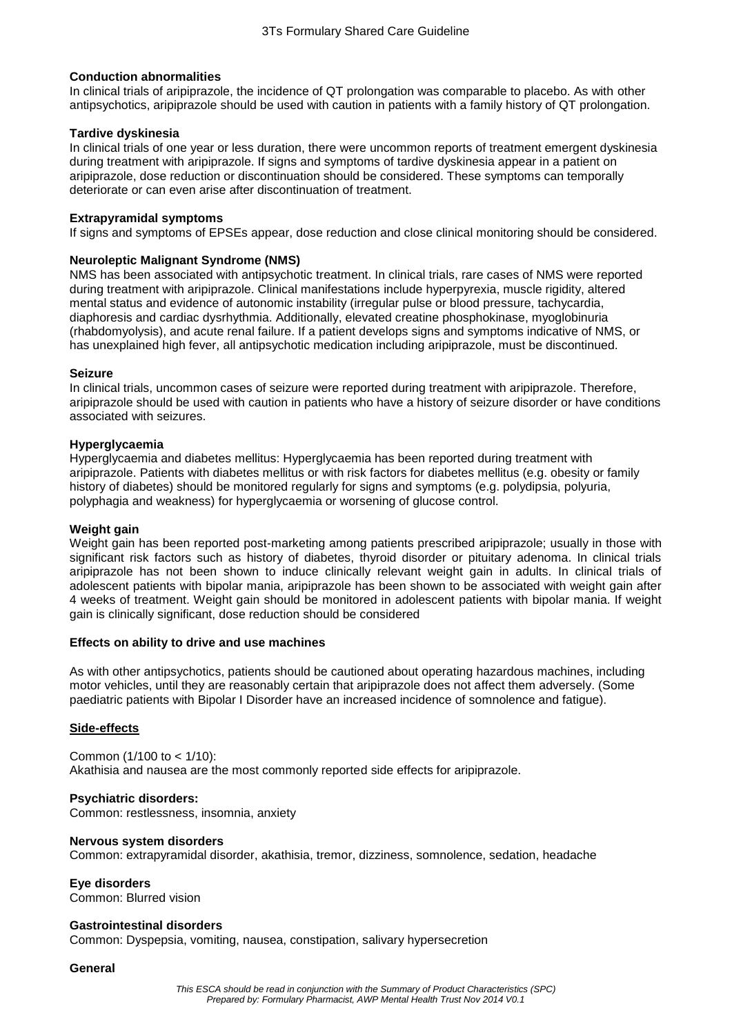# **Conduction abnormalities**

In clinical trials of aripiprazole, the incidence of QT prolongation was comparable to placebo. As with other antipsychotics, aripiprazole should be used with caution in patients with a family history of QT prolongation.

## **Tardive dyskinesia**

In clinical trials of one year or less duration, there were uncommon reports of treatment emergent dyskinesia during treatment with aripiprazole. If signs and symptoms of tardive dyskinesia appear in a patient on aripiprazole, dose reduction or discontinuation should be considered. These symptoms can temporally deteriorate or can even arise after discontinuation of treatment.

## **Extrapyramidal symptoms**

If signs and symptoms of EPSEs appear, dose reduction and close clinical monitoring should be considered.

## **Neuroleptic Malignant Syndrome (NMS)**

NMS has been associated with antipsychotic treatment. In clinical trials, rare cases of NMS were reported during treatment with aripiprazole. Clinical manifestations include hyperpyrexia, muscle rigidity, altered mental status and evidence of autonomic instability (irregular pulse or blood pressure, tachycardia, diaphoresis and cardiac dysrhythmia. Additionally, elevated creatine phosphokinase, myoglobinuria (rhabdomyolysis), and acute renal failure. If a patient develops signs and symptoms indicative of NMS, or has unexplained high fever, all antipsychotic medication including aripiprazole, must be discontinued.

## **Seizure**

In clinical trials, uncommon cases of seizure were reported during treatment with aripiprazole. Therefore, aripiprazole should be used with caution in patients who have a history of seizure disorder or have conditions associated with seizures.

## **Hyperglycaemia**

Hyperglycaemia and diabetes mellitus: Hyperglycaemia has been reported during treatment with aripiprazole. Patients with diabetes mellitus or with risk factors for diabetes mellitus (e.g. obesity or family history of diabetes) should be monitored regularly for signs and symptoms (e.g. polydipsia, polyuria, polyphagia and weakness) for hyperglycaemia or worsening of glucose control.

# **Weight gain**

Weight gain has been reported post-marketing among patients prescribed aripiprazole; usually in those with significant risk factors such as history of diabetes, thyroid disorder or pituitary adenoma. In clinical trials aripiprazole has not been shown to induce clinically relevant weight gain in adults. In clinical trials of adolescent patients with bipolar mania, aripiprazole has been shown to be associated with weight gain after 4 weeks of treatment. Weight gain should be monitored in adolescent patients with bipolar mania. If weight gain is clinically significant, dose reduction should be considered

#### **Effects on ability to drive and use machines**

As with other antipsychotics, patients should be cautioned about operating hazardous machines, including motor vehicles, until they are reasonably certain that aripiprazole does not affect them adversely. (Some paediatric patients with Bipolar I Disorder have an increased incidence of somnolence and fatigue).

# **Side-effects**

Common (1/100 to < 1/10): Akathisia and nausea are the most commonly reported side effects for aripiprazole.

#### **Psychiatric disorders:**

Common: restlessness, insomnia, anxiety

#### **Nervous system disorders**

Common: extrapyramidal disorder, akathisia, tremor, dizziness, somnolence, sedation, headache

# **Eye disorders**

Common: Blurred vision

# **Gastrointestinal disorders**

Common: Dyspepsia, vomiting, nausea, constipation, salivary hypersecretion

#### **General**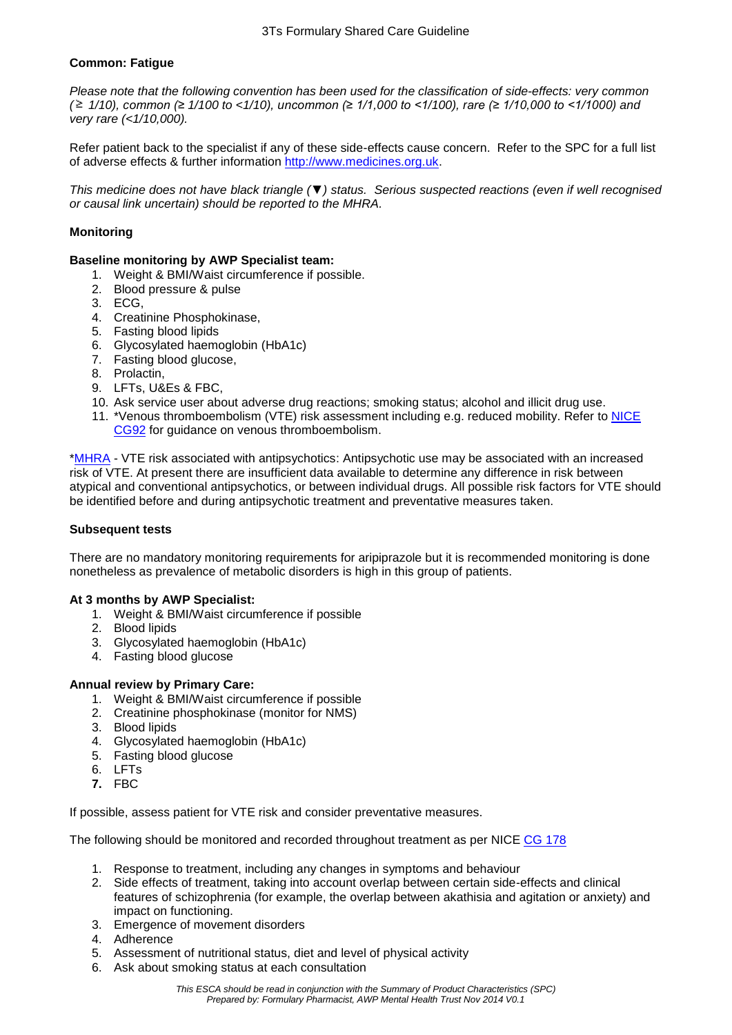# **Common: Fatigue**

*Please note that the following convention has been used for the classification of side-effects: very common ( 1/10), common (≥ 1/100 to <1/10), uncommon (≥ 1/1,000 to <1/100), rare (≥ 1/10,000 to <1/1000) and very rare (<1/10,000).*

Refer patient back to the specialist if any of these side-effects cause concern. Refer to the SPC for a full list of adverse effects & further information [http://www.medicines.org.uk.](http://www.medicines.org.uk/)

*This medicine does not have black triangle (▼) status. Serious suspected reactions (even if well recognised or causal link uncertain) should be reported to the MHRA.*

# **Monitoring**

# **Baseline monitoring by AWP Specialist team:**

- 1. Weight & BMI/Waist circumference if possible.
- 2. Blood pressure & pulse
- 3. ECG,
- 4. Creatinine Phosphokinase,
- 5. Fasting blood lipids
- 6. Glycosylated haemoglobin (HbA1c)
- 7. Fasting blood glucose,
- 8. Prolactin,
- 9. LFTs, U&Es & FBC,
- 10. Ask service user about adverse drug reactions; smoking status; alcohol and illicit drug use.
- 11. \*Venous thromboembolism (VTE) risk assessment including e.g. reduced mobility. Refer to [NICE](http://www.nice.org.uk/guidance/cg92/resources/guidance-venous-thromboembolism-reducing-the-risk-pdf) [CG92](http://www.nice.org.uk/guidance/cg92/resources/guidance-venous-thromboembolism-reducing-the-risk-pdf) for guidance on venous thromboembolism.

[\\*MHRA](http://www.mhra.gov.uk/home/groups/pl-p/documents/websiteresources/con079334.pdf) - VTE risk associated with antipsychotics: Antipsychotic use may be associated with an increased risk of VTE. At present there are insufficient data available to determine any difference in risk between atypical and conventional antipsychotics, or between individual drugs. All possible risk factors for VTE should be identified before and during antipsychotic treatment and preventative measures taken.

#### **Subsequent tests**

There are no mandatory monitoring requirements for aripiprazole but it is recommended monitoring is done nonetheless as prevalence of metabolic disorders is high in this group of patients.

#### **At 3 months by AWP Specialist:**

- 1. Weight & BMI/Waist circumference if possible
- 2. Blood lipids
- 3. Glycosylated haemoglobin (HbA1c)
- 4. Fasting blood glucose
- **Annual review by Primary Care:** 
	- 1. Weight & BMI/Waist circumference if possible
	- 2. Creatinine phosphokinase (monitor for NMS)
	- 3. Blood lipids
	- 4. Glycosylated haemoglobin (HbA1c)
	- 5. Fasting blood glucose
	- 6. LFTs
	- **7.** FBC

If possible, assess patient for VTE risk and consider preventative measures.

The following should be monitored and recorded throughout treatment as per NICE [CG 178](http://www.nice.org.uk/guidance/cg178/resources/guidance-psychosis-and-schizophrenia-in-adults-treatment-and-management-pdf)

- 1. Response to treatment, including any changes in symptoms and behaviour
- 2. Side effects of treatment, taking into account overlap between certain side-effects and clinical features of schizophrenia (for example, the overlap between akathisia and agitation or anxiety) and impact on functioning.
- 3. Emergence of movement disorders
- 4. Adherence
- 5. Assessment of nutritional status, diet and level of physical activity
- 6. Ask about smoking status at each consultation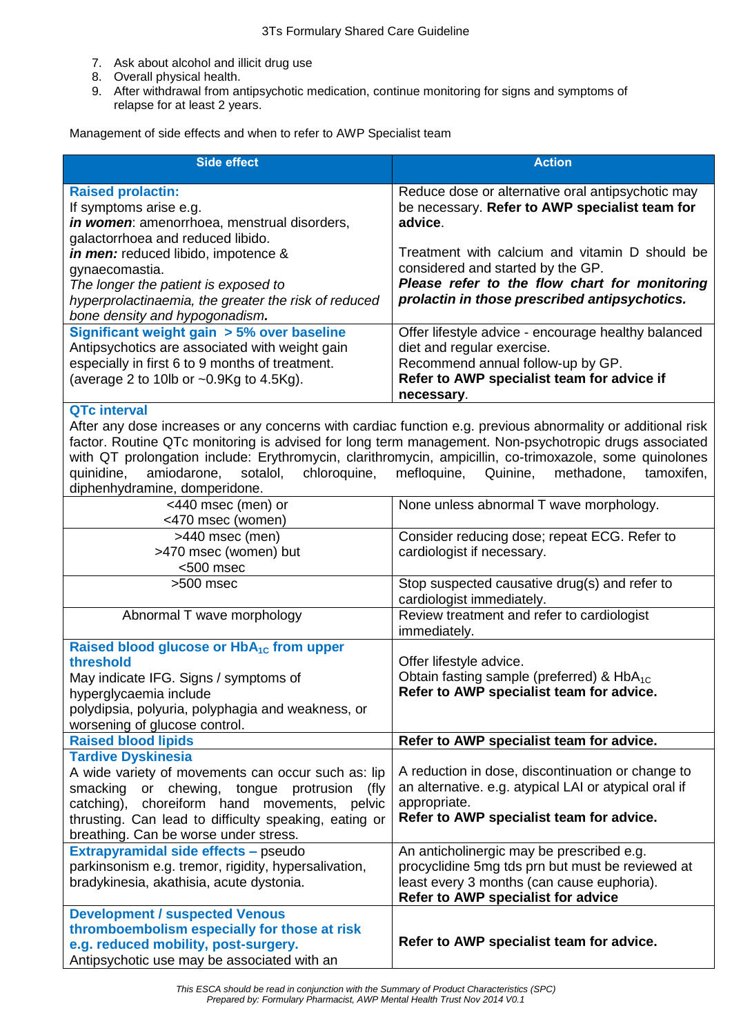- 7. Ask about alcohol and illicit drug use
- 8. Overall physical health.
- 9. After withdrawal from antipsychotic medication, continue monitoring for signs and symptoms of relapse for at least 2 years.

Management of side effects and when to refer to AWP Specialist team

| <b>Side effect</b>                                                                                                                                                                                                                                                                                                                                                                       | <b>Action</b>                                                                                                                        |
|------------------------------------------------------------------------------------------------------------------------------------------------------------------------------------------------------------------------------------------------------------------------------------------------------------------------------------------------------------------------------------------|--------------------------------------------------------------------------------------------------------------------------------------|
| <b>Raised prolactin:</b><br>If symptoms arise e.g.<br>in women: amenorrhoea, menstrual disorders,<br>galactorrhoea and reduced libido.                                                                                                                                                                                                                                                   | Reduce dose or alternative oral antipsychotic may<br>be necessary. Refer to AWP specialist team for<br>advice.                       |
| <i>in men:</i> reduced libido, impotence &<br>gynaecomastia.<br>The longer the patient is exposed to                                                                                                                                                                                                                                                                                     | Treatment with calcium and vitamin D should be<br>considered and started by the GP.<br>Please refer to the flow chart for monitoring |
| hyperprolactinaemia, the greater the risk of reduced<br>bone density and hypogonadism.                                                                                                                                                                                                                                                                                                   | prolactin in those prescribed antipsychotics.                                                                                        |
| Significant weight gain > 5% over baseline<br>Antipsychotics are associated with weight gain                                                                                                                                                                                                                                                                                             | Offer lifestyle advice - encourage healthy balanced<br>diet and regular exercise.                                                    |
| especially in first 6 to 9 months of treatment.<br>(average 2 to 10lb or $\sim 0.9$ Kg to 4.5Kg).                                                                                                                                                                                                                                                                                        | Recommend annual follow-up by GP.<br>Refer to AWP specialist team for advice if<br>necessary.                                        |
| <b>QTc interval</b>                                                                                                                                                                                                                                                                                                                                                                      |                                                                                                                                      |
| After any dose increases or any concerns with cardiac function e.g. previous abnormality or additional risk<br>factor. Routine QTc monitoring is advised for long term management. Non-psychotropic drugs associated<br>with QT prolongation include: Erythromycin, clarithromycin, ampicillin, co-trimoxazole, some quinolones<br>quinidine,<br>amiodarone,<br>sotalol,<br>chloroquine, | mefloquine,<br>Quinine,<br>methadone,<br>tamoxifen,                                                                                  |
| diphenhydramine, domperidone.                                                                                                                                                                                                                                                                                                                                                            |                                                                                                                                      |
| $\sqrt{440}$ msec (men) or<br><470 msec (women)                                                                                                                                                                                                                                                                                                                                          | None unless abnormal T wave morphology.                                                                                              |
| >440 msec (men)                                                                                                                                                                                                                                                                                                                                                                          | Consider reducing dose; repeat ECG. Refer to                                                                                         |
| >470 msec (women) but<br><500 msec                                                                                                                                                                                                                                                                                                                                                       | cardiologist if necessary.                                                                                                           |
| $>500$ msec                                                                                                                                                                                                                                                                                                                                                                              | Stop suspected causative drug(s) and refer to<br>cardiologist immediately.                                                           |
| Abnormal T wave morphology                                                                                                                                                                                                                                                                                                                                                               | Review treatment and refer to cardiologist<br>immediately.                                                                           |
| Raised blood glucose or HbA <sub>1C</sub> from upper                                                                                                                                                                                                                                                                                                                                     |                                                                                                                                      |
| threshold                                                                                                                                                                                                                                                                                                                                                                                | Offer lifestyle advice.                                                                                                              |
| May indicate IFG. Signs / symptoms of                                                                                                                                                                                                                                                                                                                                                    | Obtain fasting sample (preferred) & HbA <sub>1C</sub>                                                                                |
| hyperglycaemia include                                                                                                                                                                                                                                                                                                                                                                   | Refer to AWP specialist team for advice.                                                                                             |
| polydipsia, polyuria, polyphagia and weakness, or<br>worsening of glucose control.                                                                                                                                                                                                                                                                                                       |                                                                                                                                      |
| <b>Raised blood lipids</b>                                                                                                                                                                                                                                                                                                                                                               | Refer to AWP specialist team for advice.                                                                                             |
| <b>Tardive Dyskinesia</b>                                                                                                                                                                                                                                                                                                                                                                |                                                                                                                                      |
| A wide variety of movements can occur such as: lip                                                                                                                                                                                                                                                                                                                                       | A reduction in dose, discontinuation or change to                                                                                    |
| smacking or chewing, tongue protrusion<br>(fly                                                                                                                                                                                                                                                                                                                                           | an alternative. e.g. atypical LAI or atypical oral if                                                                                |
| catching), choreiform hand movements, pelvic                                                                                                                                                                                                                                                                                                                                             | appropriate.                                                                                                                         |
| thrusting. Can lead to difficulty speaking, eating or<br>breathing. Can be worse under stress.                                                                                                                                                                                                                                                                                           | Refer to AWP specialist team for advice.                                                                                             |
| Extrapyramidal side effects - pseudo                                                                                                                                                                                                                                                                                                                                                     | An anticholinergic may be prescribed e.g.                                                                                            |
| parkinsonism e.g. tremor, rigidity, hypersalivation,                                                                                                                                                                                                                                                                                                                                     | procyclidine 5mg tds prn but must be reviewed at                                                                                     |
| bradykinesia, akathisia, acute dystonia.                                                                                                                                                                                                                                                                                                                                                 | least every 3 months (can cause euphoria).<br>Refer to AWP specialist for advice                                                     |
| <b>Development / suspected Venous</b>                                                                                                                                                                                                                                                                                                                                                    |                                                                                                                                      |
| thromboembolism especially for those at risk                                                                                                                                                                                                                                                                                                                                             |                                                                                                                                      |
| e.g. reduced mobility, post-surgery.                                                                                                                                                                                                                                                                                                                                                     | Refer to AWP specialist team for advice.                                                                                             |
| Antipsychotic use may be associated with an                                                                                                                                                                                                                                                                                                                                              |                                                                                                                                      |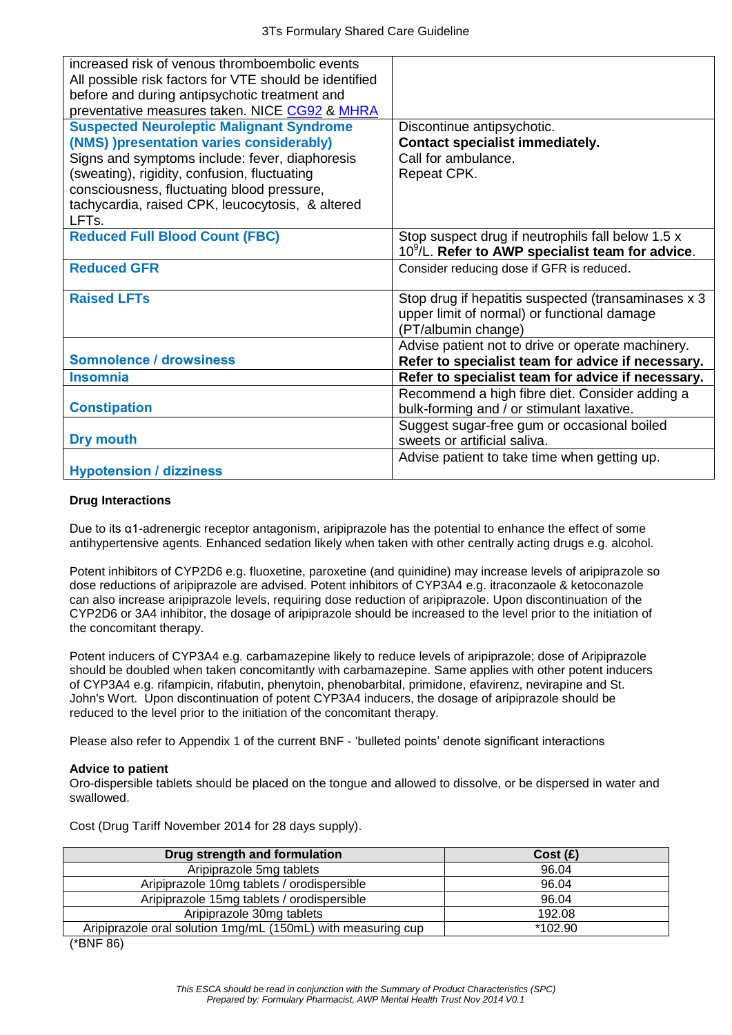| increased risk of venous thromboembolic events<br>All possible risk factors for VTE should be identified<br>before and during antipsychotic treatment and<br>preventative measures taken. NICE CG92 & MHRA                                                                                                            |                                                                                                                           |
|-----------------------------------------------------------------------------------------------------------------------------------------------------------------------------------------------------------------------------------------------------------------------------------------------------------------------|---------------------------------------------------------------------------------------------------------------------------|
| <b>Suspected Neuroleptic Malignant Syndrome</b><br>(NMS) )presentation varies considerably)<br>Signs and symptoms include: fever, diaphoresis<br>(sweating), rigidity, confusion, fluctuating<br>consciousness, fluctuating blood pressure,<br>tachycardia, raised CPK, leucocytosis, & altered<br>LFT <sub>s</sub> . | Discontinue antipsychotic.<br><b>Contact specialist immediately.</b><br>Call for ambulance.<br>Repeat CPK.                |
| <b>Reduced Full Blood Count (FBC)</b>                                                                                                                                                                                                                                                                                 | Stop suspect drug if neutrophils fall below 1.5 x<br>$10^9$ /L. Refer to AWP specialist team for advice.                  |
| <b>Reduced GFR</b>                                                                                                                                                                                                                                                                                                    | Consider reducing dose if GFR is reduced.                                                                                 |
| <b>Raised LFTs</b>                                                                                                                                                                                                                                                                                                    | Stop drug if hepatitis suspected (transaminases x 3<br>upper limit of normal) or functional damage<br>(PT/albumin change) |
| <b>Somnolence / drowsiness</b>                                                                                                                                                                                                                                                                                        | Advise patient not to drive or operate machinery.<br>Refer to specialist team for advice if necessary.                    |
| <b>Insomnia</b>                                                                                                                                                                                                                                                                                                       | Refer to specialist team for advice if necessary.                                                                         |
| <b>Constipation</b>                                                                                                                                                                                                                                                                                                   | Recommend a high fibre diet. Consider adding a<br>bulk-forming and / or stimulant laxative.                               |
| Dry mouth                                                                                                                                                                                                                                                                                                             | Suggest sugar-free gum or occasional boiled<br>sweets or artificial saliva.                                               |
| <b>Hypotension / dizziness</b>                                                                                                                                                                                                                                                                                        | Advise patient to take time when getting up.                                                                              |

## **Drug Interactions**

Due to its α1-adrenergic receptor antagonism, aripiprazole has the potential to enhance the effect of some antihypertensive agents. Enhanced sedation likely when taken with other centrally acting drugs e.g. alcohol.

Potent inhibitors of CYP2D6 e.g. fluoxetine, paroxetine (and quinidine) may increase levels of aripiprazole so dose reductions of aripiprazole are advised. Potent inhibitors of CYP3A4 e.g. itraconzaole & ketoconazole can also increase aripiprazole levels, requiring dose reduction of aripiprazole. Upon discontinuation of the CYP2D6 or 3A4 inhibitor, the dosage of aripiprazole should be increased to the level prior to the initiation of the concomitant therapy.

Potent inducers of CYP3A4 e.g. carbamazepine likely to reduce levels of aripiprazole; dose of Aripiprazole should be doubled when taken concomitantly with carbamazepine. Same applies with other potent inducers of CYP3A4 e.g. rifampicin, rifabutin, phenytoin, phenobarbital, primidone, efavirenz, nevirapine and St. John's Wort. Upon discontinuation of potent CYP3A4 inducers, the dosage of aripiprazole should be reduced to the level prior to the initiation of the concomitant therapy.

Please also refer to Appendix 1 of the current BNF - 'bulleted points' denote significant interactions

# **Advice to patient**

Oro-dispersible tablets should be placed on the tongue and allowed to dissolve, or be dispersed in water and swallowed.

| Cost (Drug Tariff November 2014 for 28 days supply). |  |  |  |  |  |  |
|------------------------------------------------------|--|--|--|--|--|--|
|------------------------------------------------------|--|--|--|--|--|--|

| Drug strength and formulation                                | Cost(E) |
|--------------------------------------------------------------|---------|
| Aripiprazole 5mg tablets                                     | 96.04   |
| Aripiprazole 10mg tablets / orodispersible                   | 96.04   |
| Aripiprazole 15mg tablets / orodispersible                   | 96.04   |
| Aripiprazole 30mg tablets                                    | 192.08  |
| Aripiprazole oral solution 1mg/mL (150mL) with measuring cup | *102.90 |
|                                                              |         |

(\*BNF 86)